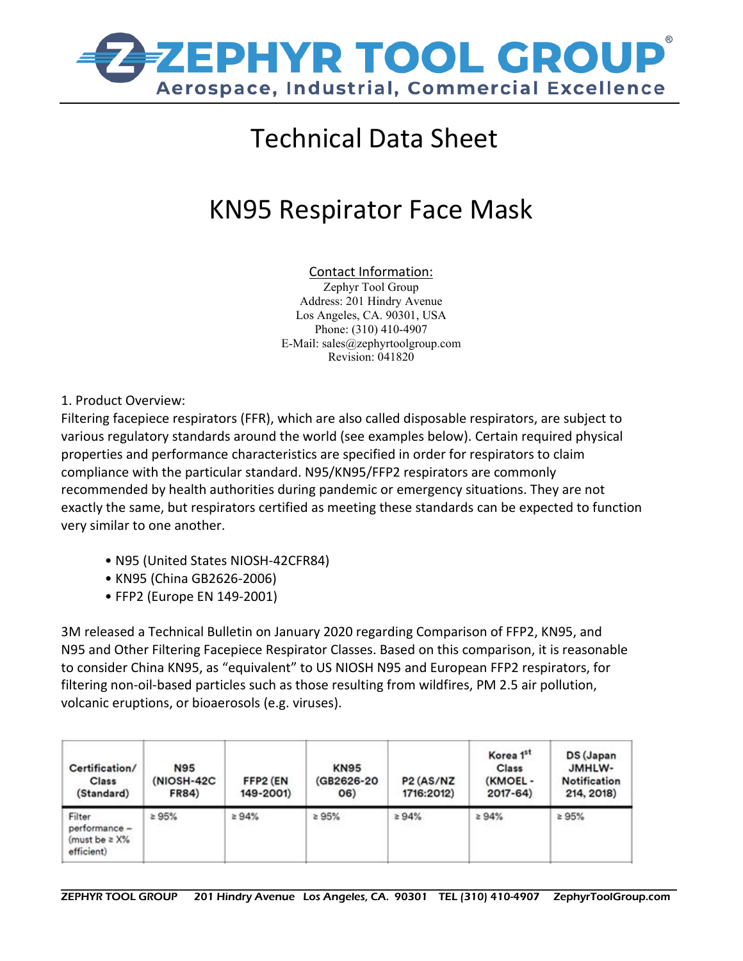

## Technical Data Sheet

## KN95 Respirator Face Mask

## Contact Information:

Zephyr Tool Group Address: 201 Hindry Avenue Los Angeles, CA. 90301, USA Phone: (310) 410-4907 E-Mail: sales@zephyrtoolgroup.com Revision: 041820

1. Product Overview:

Filtering facepiece respirators (FFR), which are also called disposable respirators, are subject to various regulatory standards around the world (see examples below). Certain required physical properties and performance characteristics are specified in order for respirators to claim compliance with the particular standard. N95/KN95/FFP2 respirators are commonly recommended by health authorities during pandemic or emergency situations. They are not exactly the same, but respirators certified as meeting these standards can be expected to function very similar to one another.

- N95 (United States NIOSH-42CFR84)
- KN95 (China GB2626-2006)
- FFP2 (Europe EN 149-2001)

3M released a Technical Bulletin on January 2020 regarding Comparison of FFP2, KN95, and N95 and Other Filtering Facepiece Respirator Classes. Based on this comparison, it is reasonable to consider China KN95, as "equivalent" to US NIOSH N95 and European FFP2 respirators, for filtering non-oil-based particles such as those resulting from wildfires, PM 2.5 air pollution, volcanic eruptions, or bioaerosols (e.g. viruses).

| Certification/<br><b>Class</b><br>(Standard)                | <b>N95</b><br>(NIOSH-42C<br><b>FR84)</b> | FFP2 (EN<br>149-2001) | <b>KN95</b><br>(GB2626-20)<br>06) | P <sub>2</sub> (AS/N <sub>Z</sub><br>1716:2012) | Korea 1st<br>Class<br>(KMOEL-<br>$2017 - 64$ | DS (Japan<br>JMHLW-<br><b>Notification</b><br>214, 2018) |
|-------------------------------------------------------------|------------------------------------------|-----------------------|-----------------------------------|-------------------------------------------------|----------------------------------------------|----------------------------------------------------------|
| Filter<br>performance -<br>(must be $\geq$ X%<br>efficient) | 295%                                     | ≥ 94%                 | 295%                              | 294%                                            | 294%                                         | 2.95%                                                    |